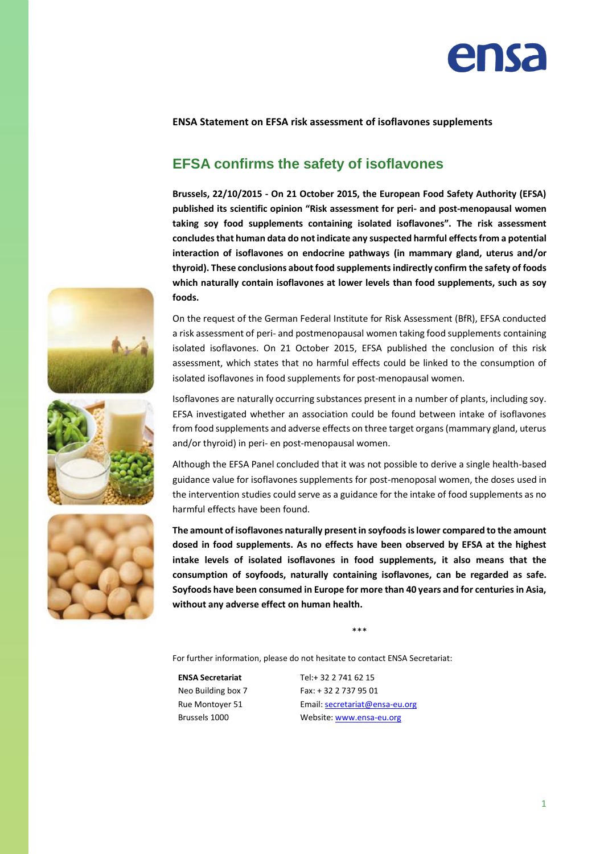

## **ENSA Statement on EFSA risk assessment of isoflavones supplements**

## **EFSA confirms the safety of isoflavones**

**Brussels, 22/10/2015 - On 21 October 2015, the European Food Safety Authority (EFSA) published its scientific opinion "Risk assessment for peri- and post-menopausal women taking soy food supplements containing isolated isoflavones". The risk assessment concludesthat human data do not indicate any suspected harmful effects from a potential interaction of isoflavones on endocrine pathways (in mammary gland, uterus and/or** thyroid). These conclusions about food supplements indirectly confirm the safety of foods **which naturally contain isoflavones at lower levels than food supplements, such as soy foods.**

On the request of the German Federal Institute for Risk Assessment (BfR), EFSA conducted a risk assessment of peri- and postmenopausal women taking food supplements containing isolated isoflavones. On 21 October 2015, EFSA published the conclusion of this risk assessment, which states that no harmful effects could be linked to the consumption of isolated isoflavones in food supplements for post-menopausal women.





Isoflavones are naturally occurring substances present in a number of plants, including soy. EFSA investigated whether an association could be found between intake of isoflavones from food supplements and adverse effects on three target organs (mammary gland, uterus and/or thyroid) in peri- en post-menopausal women.

Although the EFSA Panel concluded that it was not possible to derive a single health-based guidance value for isoflavones supplements for post-menoposal women, the doses used in the intervention studies could serve as a guidance for the intake of food supplements as no harmful effects have been found.

**The amount of isoflavones naturally present in soyfoods is lower compared to the amount dosed in food supplements. As no effects have been observed by EFSA at the highest intake levels of isolated isoflavones in food supplements, it also means that the consumption of soyfoods, naturally containing isoflavones, can be regarded as safe. Soyfoods have been consumed in Europe for more than 40 years and for centuries in Asia, without any adverse effect on human health.**

\*\*\*

For further information, please do not hesitate to contact ENSA Secretariat:

**ENSA Secretariat** Neo Building box 7 Rue Montoyer 51 Brussels 1000

Tel:+ 32 2 741 62 15 Fax: + 32 2 737 95 01 Email[: secretariat@ensa-eu.org](mailto:secretariat@ensa-eu.org)  Website[: www.ensa-eu.org](http://www.ensa-eu.org/)